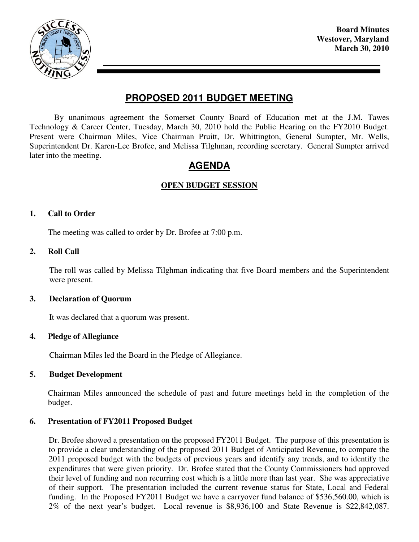

**Board Minutes Westover, Maryland March 30, 2010** 

## **PROPOSED 2011 BUDGET MEETING**

By unanimous agreement the Somerset County Board of Education met at the J.M. Tawes Technology & Career Center, Tuesday, March 30, 2010 hold the Public Hearing on the FY2010 Budget. Present were Chairman Miles, Vice Chairman Pruitt, Dr. Whittington, General Sumpter, Mr. Wells, Superintendent Dr. Karen-Lee Brofee, and Melissa Tilghman, recording secretary. General Sumpter arrived later into the meeting.

# **AGENDA**

## **OPEN BUDGET SESSION**

#### **1. Call to Order**

The meeting was called to order by Dr. Brofee at 7:00 p.m.

#### **2. Roll Call**

The roll was called by Melissa Tilghman indicating that five Board members and the Superintendent were present.

#### **3. Declaration of Quorum**

It was declared that a quorum was present.

#### **4. Pledge of Allegiance**

Chairman Miles led the Board in the Pledge of Allegiance.

## **5. Budget Development**

Chairman Miles announced the schedule of past and future meetings held in the completion of the budget.

## **6. Presentation of FY2011 Proposed Budget**

 Dr. Brofee showed a presentation on the proposed FY2011 Budget. The purpose of this presentation is to provide a clear understanding of the proposed 2011 Budget of Anticipated Revenue, to compare the 2011 proposed budget with the budgets of previous years and identify any trends, and to identify the expenditures that were given priority. Dr. Brofee stated that the County Commissioners had approved their level of funding and non recurring cost which is a little more than last year. She was appreciative of their support. The presentation included the current revenue status for State, Local and Federal funding. In the Proposed FY2011 Budget we have a carryover fund balance of \$536,560.00, which is 2% of the next year's budget. Local revenue is \$8,936,100 and State Revenue is \$22,842,087.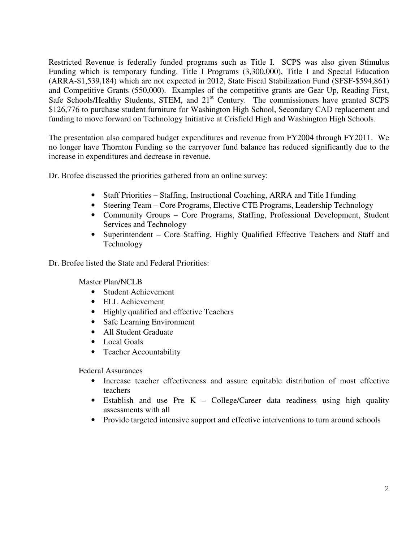Restricted Revenue is federally funded programs such as Title I. SCPS was also given Stimulus Funding which is temporary funding. Title I Programs (3,300,000), Title I and Special Education (ARRA-\$1,539,184) which are not expected in 2012, State Fiscal Stabilization Fund (SFSF-\$594,861) and Competitive Grants (550,000). Examples of the competitive grants are Gear Up, Reading First, Safe Schools/Healthy Students, STEM, and 21<sup>st</sup> Century. The commissioners have granted SCPS \$126,776 to purchase student furniture for Washington High School, Secondary CAD replacement and funding to move forward on Technology Initiative at Crisfield High and Washington High Schools.

 The presentation also compared budget expenditures and revenue from FY2004 through FY2011. We no longer have Thornton Funding so the carryover fund balance has reduced significantly due to the increase in expenditures and decrease in revenue.

Dr. Brofee discussed the priorities gathered from an online survey:

- Staff Priorities Staffing, Instructional Coaching, ARRA and Title I funding
- Steering Team Core Programs, Elective CTE Programs, Leadership Technology
- Community Groups Core Programs, Staffing, Professional Development, Student Services and Technology
- Superintendent Core Staffing, Highly Qualified Effective Teachers and Staff and Technology

Dr. Brofee listed the State and Federal Priorities:

Master Plan/NCLB

- Student Achievement
- ELL Achievement
- Highly qualified and effective Teachers
- Safe Learning Environment
- All Student Graduate
- Local Goals
- Teacher Accountability

Federal Assurances

- Increase teacher effectiveness and assure equitable distribution of most effective teachers
- Establish and use Pre K College/Career data readiness using high quality assessments with all
- Provide targeted intensive support and effective interventions to turn around schools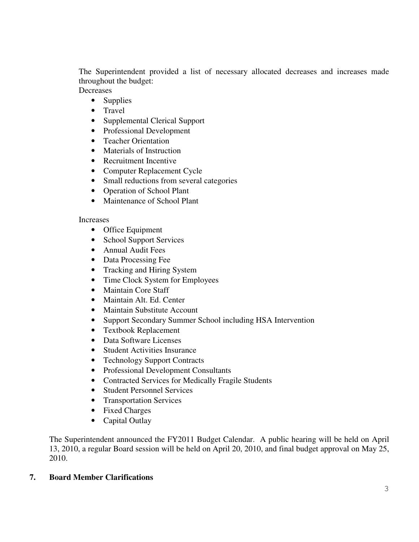The Superintendent provided a list of necessary allocated decreases and increases made throughout the budget:

**Decreases** 

- Supplies
- Travel
- Supplemental Clerical Support
- Professional Development
- Teacher Orientation
- Materials of Instruction
- Recruitment Incentive
- Computer Replacement Cycle
- Small reductions from several categories
- Operation of School Plant
- Maintenance of School Plant

## Increases

- Office Equipment
- School Support Services
- Annual Audit Fees
- Data Processing Fee
- Tracking and Hiring System
- Time Clock System for Employees
- Maintain Core Staff
- Maintain Alt. Ed. Center
- Maintain Substitute Account
- Support Secondary Summer School including HSA Intervention
- Textbook Replacement
- Data Software Licenses
- Student Activities Insurance
- Technology Support Contracts
- Professional Development Consultants
- Contracted Services for Medically Fragile Students
- Student Personnel Services
- Transportation Services
- Fixed Charges
- Capital Outlay

The Superintendent announced the FY2011 Budget Calendar. A public hearing will be held on April 13, 2010, a regular Board session will be held on April 20, 2010, and final budget approval on May 25, 2010.

## **7. Board Member Clarifications**